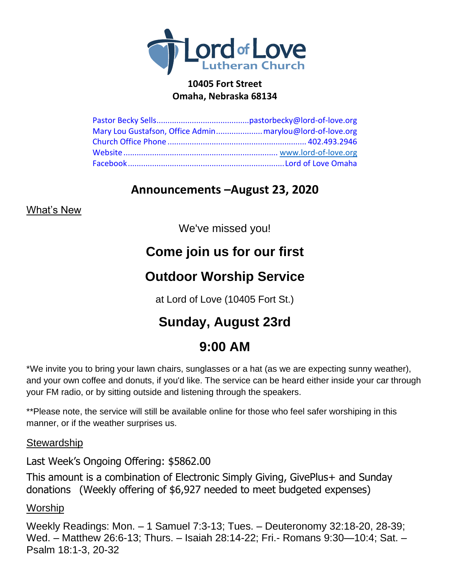

#### **10405 Fort Street Omaha, Nebraska 68134**

## **Announcements –August 23, 2020**

What's New

We've missed you!

# **Come join us for our first**

## **Outdoor Worship Service**

at Lord of Love (10405 Fort St.)

# **Sunday, August 23rd**

## **9:00 AM**

\*We invite you to bring your lawn chairs, sunglasses or a hat (as we are expecting sunny weather), and your own coffee and donuts, if you'd like. The service can be heard either inside your car through your FM radio, or by sitting outside and listening through the speakers.

\*\*Please note, the service will still be available online for those who feel safer worshiping in this manner, or if the weather surprises us.

**Stewardship** 

Last Week's Ongoing Offering: \$5862.00

This amount is a combination of Electronic Simply Giving, GivePlus+ and Sunday donations (Weekly offering of \$6,927 needed to meet budgeted expenses)

### Worship

Weekly Readings: Mon. – 1 Samuel 7:3-13; Tues. – Deuteronomy 32:18-20, 28-39; Wed. – Matthew 26:6-13; Thurs. – Isaiah 28:14-22; Fri.- Romans 9:30—10:4; Sat. – Psalm 18:1-3, 20-32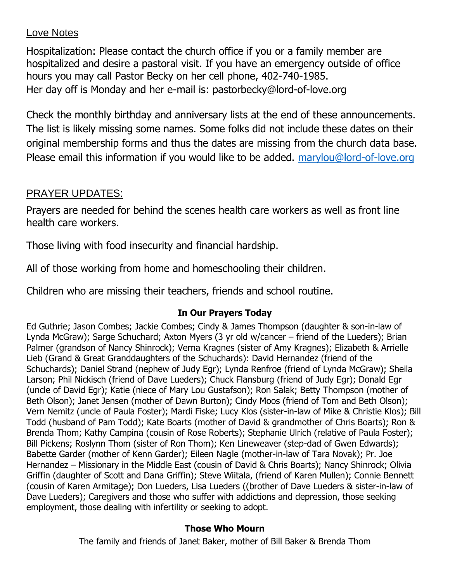### Love Notes

Hospitalization: Please contact the church office if you or a family member are hospitalized and desire a pastoral visit. If you have an emergency outside of office hours you may call Pastor Becky on her cell phone, 402-740-1985. Her day off is Monday and her e-mail is: [pastorbecky@lord-of-love.org](about:blank)

Check the monthly birthday and anniversary lists at the end of these announcements. The list is likely missing some names. Some folks did not include these dates on their original membership forms and thus the dates are missing from the church data base. Please email this information if you would like to be added. [marylou@lord-of-love.org](about:blank)

### PRAYER UPDATES:

Prayers are needed for behind the scenes health care workers as well as front line health care workers.

Those living with food insecurity and financial hardship.

All of those working from home and homeschooling their children.

Children who are missing their teachers, friends and school routine.

#### **In Our Prayers Today**

Ed Guthrie; Jason Combes; Jackie Combes; Cindy & James Thompson (daughter & son-in-law of Lynda McGraw); Sarge Schuchard; Axton Myers (3 yr old w/cancer – friend of the Lueders); Brian Palmer (grandson of Nancy Shinrock); Verna Kragnes (sister of Amy Kragnes); Elizabeth & Arrielle Lieb (Grand & Great Granddaughters of the Schuchards): David Hernandez (friend of the Schuchards); Daniel Strand (nephew of Judy Egr); Lynda Renfroe (friend of Lynda McGraw); Sheila Larson; Phil Nickisch (friend of Dave Lueders); Chuck Flansburg (friend of Judy Egr); Donald Egr (uncle of David Egr); Katie (niece of Mary Lou Gustafson); Ron Salak; Betty Thompson (mother of Beth Olson); Janet Jensen (mother of Dawn Burton); Cindy Moos (friend of Tom and Beth Olson); Vern Nemitz (uncle of Paula Foster); Mardi Fiske; Lucy Klos (sister-in-law of Mike & Christie Klos); Bill Todd (husband of Pam Todd); Kate Boarts (mother of David & grandmother of Chris Boarts); Ron & Brenda Thom; Kathy Campina (cousin of Rose Roberts); Stephanie Ulrich (relative of Paula Foster); Bill Pickens; Roslynn Thom (sister of Ron Thom); Ken Lineweaver (step-dad of Gwen Edwards); Babette Garder (mother of Kenn Garder); Eileen Nagle (mother-in-law of Tara Novak); Pr. Joe Hernandez – Missionary in the Middle East (cousin of David & Chris Boarts); Nancy Shinrock; Olivia Griffin (daughter of Scott and Dana Griffin); Steve Wiitala, (friend of Karen Mullen); Connie Bennett (cousin of Karen Armitage); Don Lueders, Lisa Lueders ((brother of Dave Lueders & sister-in-law of Dave Lueders); Caregivers and those who suffer with addictions and depression, those seeking employment, those dealing with infertility or seeking to adopt.

#### **Those Who Mourn**

The family and friends of Janet Baker, mother of Bill Baker & Brenda Thom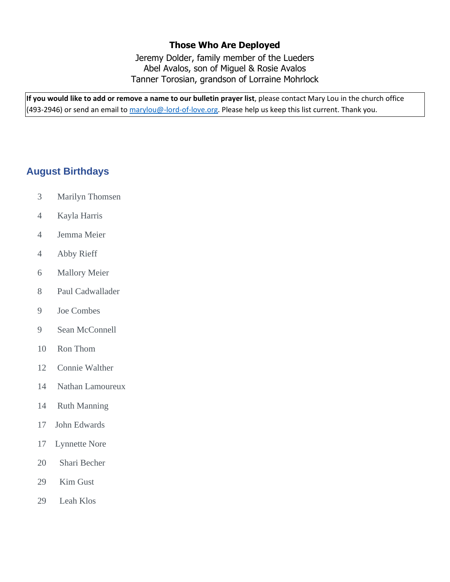#### **Those Who Are Deployed**

Jeremy Dolder, family member of the Lueders Abel Avalos, son of Miguel & Rosie Avalos Tanner Torosian, grandson of Lorraine Mohrlock

**If you would like to add or remove a name to our bulletin prayer list**, please contact Mary Lou in the church office (493-2946) or send an email to [marylou@-lord-of-love.org.](about:blank) Please help us keep this list current. Thank you.

### **August Birthdays**

- 3 Marilyn Thomsen
- 4 Kayla Harris
- 4 Jemma Meier
- 4 Abby Rieff
- 6 Mallory Meier
- 8 Paul Cadwallader
- 9 Joe Combes
- 9 Sean McConnell
- 10 Ron Thom
- 12 Connie Walther
- 14 Nathan Lamoureux
- 14 Ruth Manning
- 17 John Edwards
- 17 Lynnette Nore
- 20 Shari Becher
- 29 Kim Gust
- 29 Leah Klos